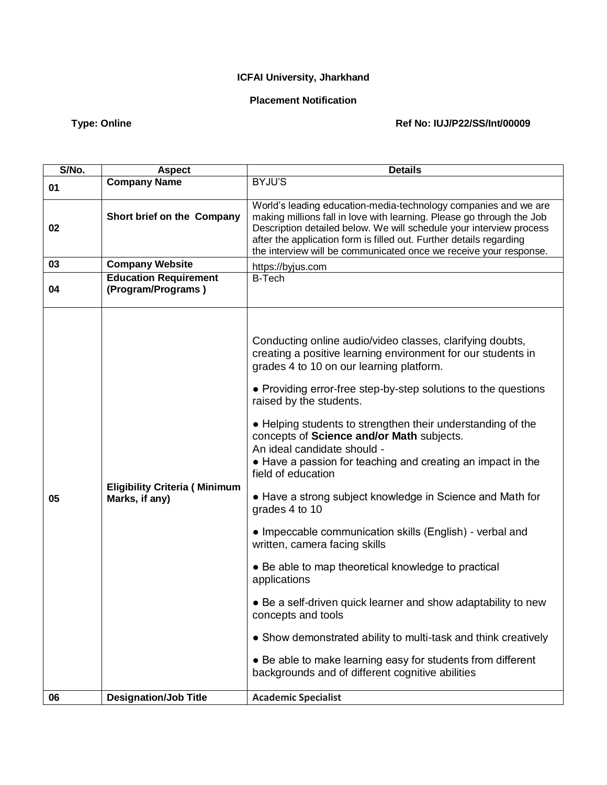## **ICFAI University, Jharkhand**

## **Placement Notification**

## Type: Online **Type: Online** Ref No: IUJ/P22/SS/Int<sup>/00009</sup>

| S/No. | <b>Aspect</b>                                          | <b>Details</b>                                                                                                                                                                                                                                                                                                                                                                                                                                                                                                                                                                                                                                                                                                                                                                                                                                                                                                                                                                                                                    |
|-------|--------------------------------------------------------|-----------------------------------------------------------------------------------------------------------------------------------------------------------------------------------------------------------------------------------------------------------------------------------------------------------------------------------------------------------------------------------------------------------------------------------------------------------------------------------------------------------------------------------------------------------------------------------------------------------------------------------------------------------------------------------------------------------------------------------------------------------------------------------------------------------------------------------------------------------------------------------------------------------------------------------------------------------------------------------------------------------------------------------|
| 01    | <b>Company Name</b>                                    | BYJU'S                                                                                                                                                                                                                                                                                                                                                                                                                                                                                                                                                                                                                                                                                                                                                                                                                                                                                                                                                                                                                            |
| 02    | Short brief on the Company                             | World's leading education-media-technology companies and we are<br>making millions fall in love with learning. Please go through the Job<br>Description detailed below. We will schedule your interview process<br>after the application form is filled out. Further details regarding<br>the interview will be communicated once we receive your response.                                                                                                                                                                                                                                                                                                                                                                                                                                                                                                                                                                                                                                                                       |
| 03    | <b>Company Website</b>                                 | https://byjus.com                                                                                                                                                                                                                                                                                                                                                                                                                                                                                                                                                                                                                                                                                                                                                                                                                                                                                                                                                                                                                 |
| 04    | <b>Education Requirement</b><br>(Program/Programs)     | <b>B-Tech</b>                                                                                                                                                                                                                                                                                                                                                                                                                                                                                                                                                                                                                                                                                                                                                                                                                                                                                                                                                                                                                     |
| 05    | <b>Eligibility Criteria (Minimum</b><br>Marks, if any) | Conducting online audio/video classes, clarifying doubts,<br>creating a positive learning environment for our students in<br>grades 4 to 10 on our learning platform.<br>• Providing error-free step-by-step solutions to the questions<br>raised by the students.<br>• Helping students to strengthen their understanding of the<br>concepts of Science and/or Math subjects.<br>An ideal candidate should -<br>• Have a passion for teaching and creating an impact in the<br>field of education<br>• Have a strong subject knowledge in Science and Math for<br>grades 4 to 10<br>• Impeccable communication skills (English) - verbal and<br>written, camera facing skills<br>• Be able to map theoretical knowledge to practical<br>applications<br>• Be a self-driven quick learner and show adaptability to new<br>concepts and tools<br>• Show demonstrated ability to multi-task and think creatively<br>• Be able to make learning easy for students from different<br>backgrounds and of different cognitive abilities |
| 06    | <b>Designation/Job Title</b>                           | <b>Academic Specialist</b>                                                                                                                                                                                                                                                                                                                                                                                                                                                                                                                                                                                                                                                                                                                                                                                                                                                                                                                                                                                                        |